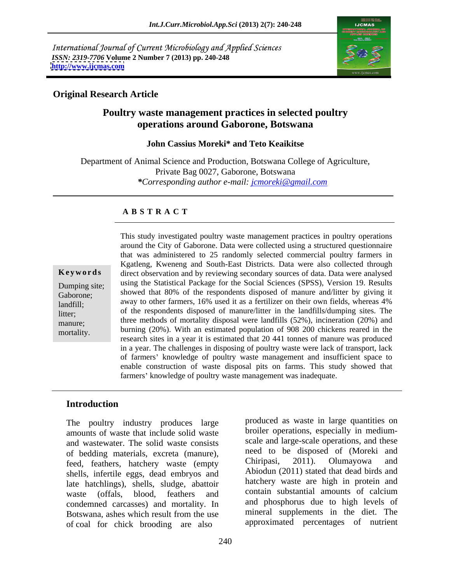International Journal of Current Microbiology and Applied Sciences *ISSN: 2319-7706* **Volume 2 Number 7 (2013) pp. 240-248 <http://www.ijcmas.com>**



### **Original Research Article**

### **Poultry waste management practices in selected poultry operations around Gaborone, Botswana**

**John Cassius Moreki\* and Teto Keaikitse**

Department of Animal Science and Production, Botswana College of Agriculture, Private Bag 0027, Gaborone, Botswana *\*Corresponding author e-mail: jcmoreki@gmail.com*

### **A B S T R A C T**

**Ke ywo rds** direct observation and by reviewing secondary sources of data. Data were analysed Dumping site; using the Statistical Package for the Social Sciences (SPSS), Version 19. Results Gaborone; showed that 80% of the respondents disposed of manure and/litter by giving it landfill; away to other farmers, 16% used it as a fertilizer on their own fields, whereas 4% litter; of the respondents disposed of manure/litter in the landfills/dumping sites. The manure; three methods of mortality disposal were landfills (52%), incineration (20%) and mortality. burning (20%). With an estimated population of 908 200 chickens reared in the This study investigated poultry waste management practices in poultry operations around the City of Gaborone. Data were collected using a structured questionnaire that was administered to 25 randomly selected commercial poultry farmers in Kgatleng, Kweneng and South-East Districts. Data were also collected through research sites in a year it is estimated that 20 441 tonnes of manure was produced in a year. The challenges in disposing of poultry waste were lack of transport, lack of farmers' knowledge of poultry waste management and insufficient space to enable construction of waste disposal pits on farms. This study showed that farmers' knowledge of poultry waste management was inadequate.

### **Introduction**

The poultry industry produces large amounts of waste that include solid waste and wastewater. The solid waste consists of bedding materials, excreta (manure), and to be disposed of (Moreki and of each reachery waste (empty chiripasi, 2011). Olumayowa and feed, feathers, hatchery waste (empty shells, infertile eggs, dead embryos and late hatchlings), shells, sludge, abattoir<br>was used that the metal contain substantial amounts of calcium condemned carcasses) and mortality. In Botswana, ashes which result from the use of coal for chick brooding are also

waste (offals, blood, feathers and contain substantial amounts of calcium produced as waste in large quantities on broiler operations, especially in medium scale and large-scale operations, and these need to be disposed of (Moreki and Chiripasi, 2011). Olumayowa and Abiodun (2011) stated that dead birds and hatchery waste are high in protein and contain substantial amounts of calcium and phosphorus due to high levels of mineral supplements in the diet. The approximated percentages of nutrient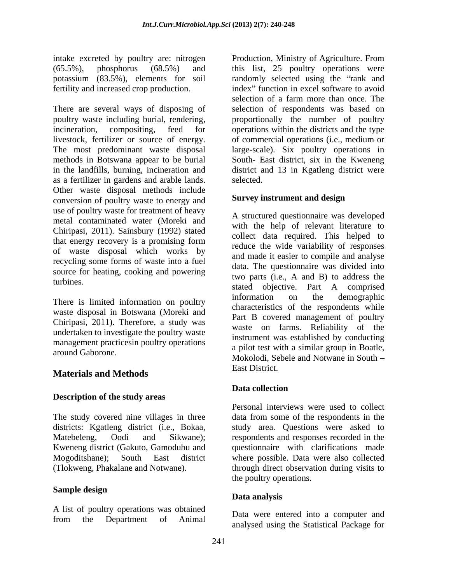intake excreted by poultry are: nitrogen

There are several ways of disposing of poultry waste including burial, rendering, proportionally the number of poultry incineration, compositing, feed for operations within the districts and the type livestock, fertilizer or source of energy. of commercial operations (i.e., medium or The most predominant waste disposal large-scale). Six poultry operations in methods in Botswana appear to be burial in the landfills, burning, incineration and district and 13 in Kgatleng district were as a fertilizer in gardens and arable lands. Other waste disposal methods include conversion of poultry waste to energy and use of poultry waste for treatment of heavy metal contaminated water (Moreki and Chiripasi, 2011). Sainsbury (1992) stated that energy recovery is a promising form<br>advect the vide veriphility of recognized of waste disposal which works by recycling some forms of waste into a fuel source for heating, cooking and powering

waste disposal in Botswana (Moreki and Chiripasi, 2011). Therefore, a study was undertaken to investigate the poultry waste management practicesin poultry operations

## **Materials and Methods**

### **Description of the study areas**

### **Sample design**

A list of poultry operations was obtained

(65.5%), phosphorus (68.5%) and this list, 25 poultry operations were potassium (83.5%), elements for soil and randomly selected using the "rank and fertility and increased crop production. The index" function in excel software to avoid Production, Ministry of Agriculture. From selection of a farm more than once. The selection of respondents was based on South- East district, six in the Kweneng selected.

### **Survey instrument and design**

turbines.<br>
stated objective. Part  $\overline{A}$  comprised There is limited information on poultry information on the demographic around Gaborone.<br>Mokolodi, Sebele and Notwane in South – A structured questionnaire was developed with the help of relevant literature to collect data required. This helped to reduce the wide variability of responses and made it easier to compile and analyse data. The questionnaire was divided into two parts (i.e., A and B) to address the information on the demographic characteristics of the respondents while Part B covered management of poultry waste on farms. Reliability of the instrument was established by conducting a pilot test with a similar group in Boatle, East District.

### **Data collection**

The study covered nine villages in three data from some of the respondents in the districts: Kgatleng district (i.e., Bokaa, study area. Questions were asked to Matebeleng, Oodi and Sikwane); respondents and responses recorded in the Kweneng district (Gakuto, Gamodubu and questionnaire with clarifications made Mogoditshane); South East district where possible. Data were also collected (Tlokweng, Phakalane and Notwane). through direct observation during visits to Personal interviews were used to collect the poultry operations.

### **Data analysis**

from the Department of Animal Data were entered into a computer and Data were entered into a computer and analysed using the Statistical Package for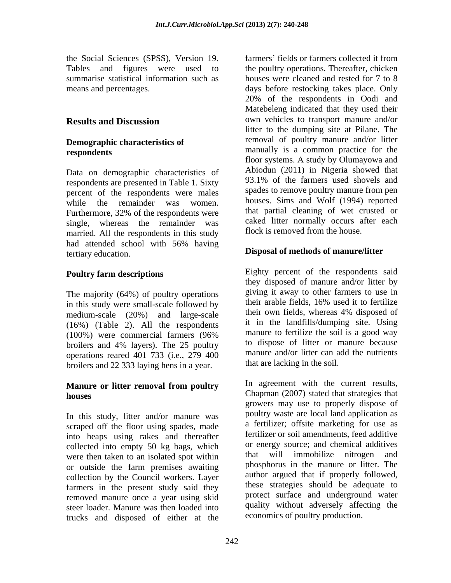the Social Sciences (SPSS), Version 19. summarise statistical information such as

# **Demographic characteristics of**

Data on demographic characteristics of Applodun (2011) in Nigeria showed that<br>respondents are presented in Table 1 Sixty 93.1% of the farmers used shovels and respondents are presented in Table 1. Sixty percent of the respondents were males single, whereas the remainder was married. All the respondents in this study had attended school with 56% having had attended school with 56% having tertiary education. **Disposal of methods of manure/litter**

The majority (64%) of poultry operations giving it away to other farmers to use in<br>in this study were small-scale followed by their arable fields, 16% used it to fertilize in this study were small-scale followed by<br>medium-scale (20%) and large-scale their own fields, whereas 4% disposed of medium-scale (20%) and large-scale (16%) (Table 2). All the respondents operations reared 401 733 (i.e., 279 400 broilers and 22 333 laying hens in a year.

In this study, litter and/or manure was scraped off the floor using spades, made into heaps using rakes and thereafter collected into empty 50 kg bags, which or energy source; and chemical additives<br>were then taken to an isolated spot within that will immobilize nitrogen and were then taken to an isolated spot within or outside the farm premises awaiting collection by the Council workers. Layer farmers in the present study said they removed manure once a year using skid steer loader. Manure was then loaded into trucks and disposed of either at the

Tables and figures were used to the poultry operations. Thereafter, chicken means and percentages. days before restocking takes place. Only **Results and Discussion but a conserver the conserver of the conserver of the Results and Or respondents respondents respondents respondents** while the remainder was women. houses Sims and Wolf (1994) reported Furthermore, 32% of the respondents were that partial cleaning of wet crusted or farmers fields or farmers collected it from houses were cleaned and rested for 7 to 8 20% of the respondents in Oodi and Matebeleng indicated that they used their own vehicles to transport manure and/or litter to the dumping site at Pilane. The removal of poultry manure and/or litter floor systems. A study by Olumayowa and Abiodun (2011) in Nigeria showed that 93.1% of the farmers used shovels and spades to remove poultry manure from pen that partial cleaning of wet crusted or caked litter normally occurs after each flock is removed from the house.

**Poultry farm descriptions** Eighty percent of the respondents said  $(100%)$  were commercial farmers  $(96%$  manure to fertilize the soil is a good way broilers and 4% layers). The 25 poultry to dispose of litter or manure because they disposed of manure and/or litter by giving it away to other farmers to use in their arable fields, 16% used it to fertilize their own fields, whereas 4% disposed of it in the landfills/dumping site. Using manure to fertilize the soil is a good way to dispose of litter or manure because manure and/or litter can add the nutrients that are lacking in the soil.

**Manure or litter removal from poultry houses houses houses houses houses houses houses hat strategies** that **houses houses houses houses houses houses houses houses houses houses houses houses houses houses houses h** In agreement with the current results, growers may use to properly dispose of poultry waste are local land application as a fertilizer; offsite marketing for use as fertilizer or soil amendments, feed additive or energy source; and chemical additives that will immobilize nitrogen and phosphorus in the manure or litter. The author argued that if properly followed, these strategies should be adequate to protect surface and underground water quality without adversely affecting the economics of poultry production.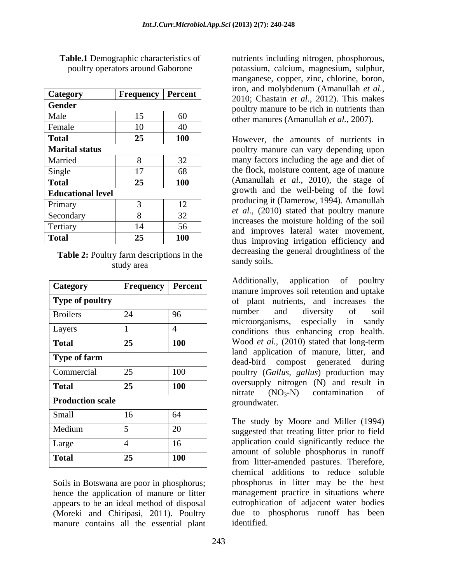|    |                                   | non, and moryodemum (Amanuman <i>et al.</i> , |                                                                                                                                                                                                                                                                                                                                                                                                                                                         |  |  |
|----|-----------------------------------|-----------------------------------------------|---------------------------------------------------------------------------------------------------------------------------------------------------------------------------------------------------------------------------------------------------------------------------------------------------------------------------------------------------------------------------------------------------------------------------------------------------------|--|--|
|    |                                   |                                               |                                                                                                                                                                                                                                                                                                                                                                                                                                                         |  |  |
| 15 | 60                                |                                               |                                                                                                                                                                                                                                                                                                                                                                                                                                                         |  |  |
| 10 | 40                                |                                               |                                                                                                                                                                                                                                                                                                                                                                                                                                                         |  |  |
| 25 | 100                               | However, the amounts of nutrients in          |                                                                                                                                                                                                                                                                                                                                                                                                                                                         |  |  |
|    |                                   | poultry manure can vary depending upon        |                                                                                                                                                                                                                                                                                                                                                                                                                                                         |  |  |
|    | 32                                | many factors including the age and diet of    |                                                                                                                                                                                                                                                                                                                                                                                                                                                         |  |  |
|    | 68                                | the flock, moisture content, age of manure    |                                                                                                                                                                                                                                                                                                                                                                                                                                                         |  |  |
| 25 | 100                               |                                               |                                                                                                                                                                                                                                                                                                                                                                                                                                                         |  |  |
|    |                                   |                                               |                                                                                                                                                                                                                                                                                                                                                                                                                                                         |  |  |
|    | 12                                |                                               |                                                                                                                                                                                                                                                                                                                                                                                                                                                         |  |  |
|    | 32 <sub>1</sub><br>$J\mathcal{L}$ |                                               |                                                                                                                                                                                                                                                                                                                                                                                                                                                         |  |  |
| 14 | 56                                |                                               |                                                                                                                                                                                                                                                                                                                                                                                                                                                         |  |  |
| 25 | 100                               |                                               |                                                                                                                                                                                                                                                                                                                                                                                                                                                         |  |  |
|    | <b>Educational level</b>          | Frequency   Percent                           | 2010; Chastain et al., 2012). This makes<br>poultry manure to be rich in nutrients than<br>other manures (Amanullah et al., 2007).<br>(Amanullah et al., 2010), the stage of<br>growth and the well-being of the fowl<br>producing it (Damerow, 1994). Amanullah<br><i>et al.</i> , (2010) stated that poultry manure<br>increases the moisture holding of the soil<br>and improves lateral water movement,<br>thus improving irrigation efficiency and |  |  |

**Table 2:** Poultry farm descriptions in the decreasing the sandy soils. study area sandy solutions.

| <b>Category</b>         | <b>Frequency</b> | Percent | Additionally, application of poultry<br>manure improves soil retention and uptake  |  |
|-------------------------|------------------|---------|------------------------------------------------------------------------------------|--|
| Type of poultry         |                  |         | of plant nutrients, and increases the                                              |  |
| <b>Broilers</b>         | 24               | 96      | diversity of<br>soil<br>and<br>number<br>microorganisms, especially in sandy       |  |
| Layers                  |                  |         | conditions thus enhancing crop health.                                             |  |
| <b>Total</b>            | 25               |         | Wood et al., (2010) stated that long-term                                          |  |
| <b>Type of farm</b>     |                  |         | land application of manure, litter, and<br>dead-bird compost generated during      |  |
| Commercial              | 25               | 100     | poultry (Gallus, gallus) production may                                            |  |
| <b>Total</b>            | 25               |         | oversupply nitrogen (N) and result in<br>nitrate $(NO3-N)$ contamination of        |  |
| <b>Production scale</b> |                  |         | groundwater.                                                                       |  |
| Small                   | 16               | 64      | The study by Moore and Miller (1994)                                               |  |
| Medium                  |                  | 20      | suggested that treating litter prior to field                                      |  |
| Large                   |                  |         | application could significantly reduce the                                         |  |
| <b>Total</b>            | 25               | 100     | amount of soluble phosphorus in runoff<br>from litter-amended pastures. Therefore, |  |

Soils in Botswana are poor in phosphorus; hence the application of manure or litter appears to be an ideal method of disposal (Moreki and Chiripasi, 2011). Poultry manure contains all the essential plant

**Table.1** Demographic characteristics of nutrients including nitrogen, phosphorous, poultry operators around Gaborone potassium, calcium, magnesium, sulphur, manganese, copper, zinc, chlorine, boron, iron, and molybdenum (Amanullah *et al.,*

**Marital status** poultry manure can vary depending upon Married 18 32 many factors including the age and diet of Single 17 68 the flock, moisture content, age of manure **Total 25 100 (Amanullah** *et al.,* 2010), the stage of **Educational level**<br> **Educational level**<br>
growth and the well-being of the fowl Primary 3 12 Secondary 8 32 Tertiary 14 56 and improves lateral water movement, **Total 25 100** thus improving irrigation efficiency and (Amanullah *et al.,* 2010), the stage of producing it (Damerow,1994). Amanullah *et al.,* (2010) stated that poultry manure increases the moisture holding of the soil decreasing the general droughtiness of the sandy soils.

Category **Frequency Percent From Examplement From Property From Property Frequency Percent From Property From Property From Property From Property From Property From Property From Property From Type of poultry** and increases the of plant nutrients, and increases the Broilers  $\begin{vmatrix} 24 & 96 \end{vmatrix}$  number and diversity of solu Layers  $\begin{vmatrix} 1 & 4 \\ 4 & \end{vmatrix}$  conditions thus enhancing crop health. **Total 25 100** Wood *et al.,* (2010) stated that long-term **Type of farm** and  $\begin{bmatrix} 1 & 0 & 0 \\ 0 & 0 & 0 \\ 0 & 0 & 0 \end{bmatrix}$  and  $\begin{bmatrix} 0 & 0 \\ 0 & 0 \\ 0 & 0 \end{bmatrix}$  and  $\begin{bmatrix} 0 & 0 \\ 0 & 0 \\ 0 & 0 \end{bmatrix}$ Commercial 25 100 poultry (*Gallus, gallus*) production may **Total**  $\begin{bmatrix} 25 \\ 100 \\ 100 \end{bmatrix}$  oversupply introgen (N) and result in **Production scale** and **regional contract of the set of the set of the set of the set of the set of the set of the set of the set of the set of the set of the set of the set of the set of the set of the set of the set of t** Additionally, application of poultry manure improves soil retention and uptake number and diversity of soil microorganisms, especially in sandy land application of manure, litter, and dead-bird compost generated during oversupply nitrogen (N) and result in nitrate  $(NO<sub>3</sub>-N)$  contamination of groundwater.

Medium  $\begin{vmatrix} 5 \\ 20 \\ 1 \end{vmatrix}$  suggested that treating litter prior to field Large 4 16 16 application could significantly reduce the Total  $\begin{array}{|l|l|} \hline \end{array}$  25  $\begin{array}{|l|l|} \hline \end{array}$  100
from litter-amended pastures. Therefore, The study by Moore and Miller (1994) amount of soluble phosphorus in runoff chemical additions to reduce soluble phosphorus in litter may be the best management practice in situations where eutrophication of adjacent water bodies due to phosphorus runoff has been identified.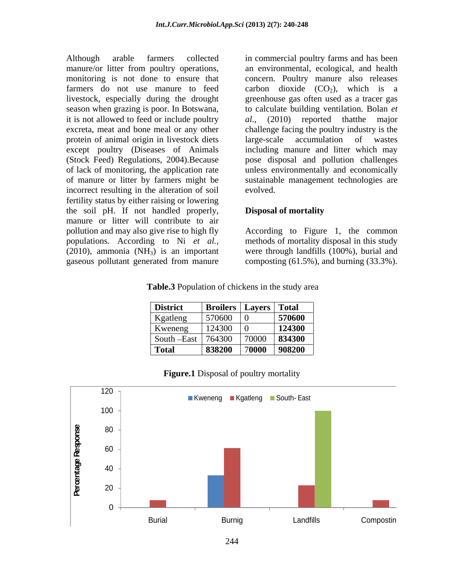Although arable farmers collected in commercial poultry farms and has been manure/or litter from poultry operations, an environmental, ecological, and health monitoring is not done to ensure that concern. Poultry manure also releases farmers do not use manure to feed carbon dioxide  $(CO_2)$ , which is a livestock, especially during the drought greenhouse gas often used as a tracer gas season when grazing is poor. In Botswana, it is not allowed to feed or include poultry al., excreta, meat and bone meal or any other challenge facing the poultry industry is the protein of animal origin in livestock diets large-scale accumulation of wastes except poultry (Diseases of Animals including manure and litter which may (Stock Feed) Regulations, 2004).Because pose disposal and pollution challenges of lack of monitoring, the application rate of manure or litter by farmers might be sustainable management technologies are incorrect resulting in the alteration of soil fertility status by either raising or lowering the soil pH. If not handled properly, **Disposal of mortality** manure or litter will contribute to air pollution and may also give rise to high fly According to Figure 1, the common populations. According to Ni *et al.,* (2010), ammonia (NH3) is an important were through landfills (100%), burial and gaseous pollutant generated from manure composting (61.5%), and burning (33.3%).

to calculate building ventilation. Bolan *et*  (2010) reported that the major large-scale accumulation of wastes unless environmentally and economically evolved.

### **Disposal of mortality**

methods of mortality disposal in this study

### **Table.3** Population of chickens in the study area

| <b>District</b> | <b>Broilers</b> | Layers   Total |        |
|-----------------|-----------------|----------------|--------|
| Kgatleng        | 570600          | $\bigcap$      | 570600 |
| Kweneng         | 124300          | $\overline{0}$ | 124300 |
| South-East      | 764300          | 70000          | 834300 |
| <b>Total</b>    | 838200          | 70000          | 908200 |



### **Figure.1** Disposal of poultry mortality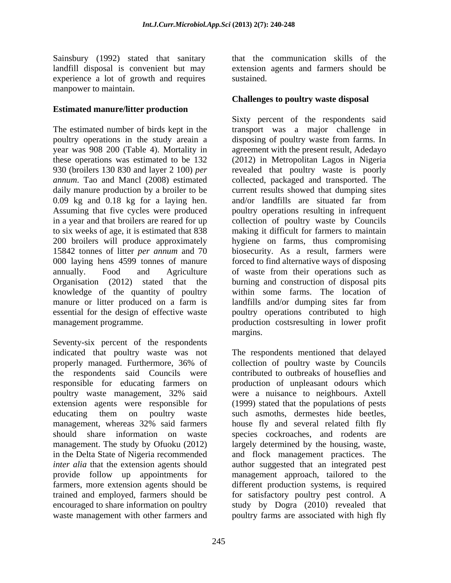Sainsbury (1992) stated that sanitary experience a lot of growth and requires sustained. manpower to maintain.

### **Estimated manure/litter production**

The estimated number of birds kept in the transport was a major challenge in poultry operations in the study areain a disposing of poultry waste from farms. In year was 908 200 (Table 4). Mortality in these operations was estimated to be 132 (2012) in Metropolitan Lagos in Nigeria 930 (broilers 130 830 and layer 2 100) *per*  revealed that poultry waste is poorly *annum*. Tao and Mancl (2008) estimated collected, packaged and transported. The daily manure production by a broiler to be 0.09 kg and 0.18 kg for a laying hen. Assuming that five cycles were produced in a year and that broilers are reared for up collection of poultry waste by Councils to six weeks of age, it is estimated that 838 making it difficult for farmers to maintain 200 broilers will produce approximately hygiene on farms, thus compromising 15842 tonnes of litter *per annum* and 70 biosecurity. As a result, farmers were 000 laying hens 4599 tonnes of manure forced to find alternative ways of disposing annually. Food and Agriculture of waste from their operations such as Organisation (2012) stated that the burning and construction of disposal pits knowledge of the quantity of poultry within some farms. The location of manure or litter produced on a farm is landfills and/or dumping sites far from essential for the design of effective waste management programme. production costsresulting in lower profit

Seventy-six percent of the respondents indicated that poultry waste was not The respondents mentioned that delayed properly managed. Furthermore, 36% of the respondents said Councils were responsible for educating farmers on poultry waste management, 32% said extension agents were responsible for educating them on poultry waste such asmoths, dermestes hide beetles, management, whereas 32% said farmers bouse fly and several related filth fly should share information on waste species cockroaches, and rodents are management. The study by Ofuoku (2012) largely determined by the housing, waste, in the Delta State of Nigeria recommended and flock management practices.The *inter alia* that the extension agents should author suggested that an integrated pest provide follow up appointments for management approach, tailored to the farmers, more extension agents should be different production systems, is required trained and employed, farmers should be for satisfactory poultry pest control. A encouraged to share information on poultry study by Dogra (2010) revealed that waste management with other farmers and poultry farms are associated with high fly

landfill disposal is convenient but may extension agents and farmers should be that the communication skills of the sustained.

### **Challenges to poultry waste disposal**

Sixty percent of the respondents said agreement with the present result, Adedayo current results showed that dumping sites and/or landfills are situated far from poultry operations resulting in infrequent landfills and/or dumping sites far from poultry operations contributed to high margins.

collection of poultry waste by Councils contributed to outbreaks of houseflies and production of unpleasant odours which were a nuisance to neighbours. Axtell (1999) stated that the populations of pests house fly and several related filth fly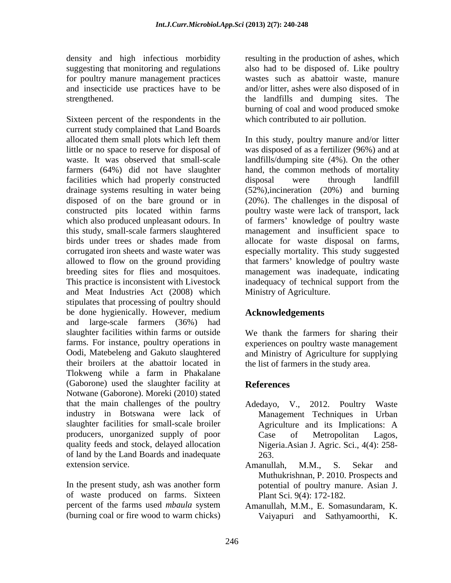Sixteen percent of the respondents in the current study complained that Land Boards allocated them small plots which left them little or no space to reserve for disposal of was disposed of as a fertilizer (96%) and at waste. It was observed that small-scale landfills/dumping site (4%). On the other farmers (64%) did not have slaughter facilities which had properly constructed drainage systems resulting in water being (52%),incineration (20%) and burning disposed of on the bare ground or in (20%). The challenges in the disposal of constructed pits located within farms which also produced unpleasant odours. In least of farmers' knowledge of poultry waste this study, small-scale farmers slaughtered management and insufficient space to birds under trees or shades made from allocate for waste disposal on farms, corrugated iron sheets and waste water was especially mortality. This study suggested allowed to flow on the ground providing that farmers' knowledge of poultry waste breeding sites for flies and mosquitoes. management was inadequate, indicating This practice is inconsistent with Livestock inadequacy of technical support from the and Meat Industries Act (2008) which stipulates that processing of poultry should be done hygienically. However, medium Acknowledgements and large-scale farmers (36%) had slaughter facilities within farms or outside farms. For instance, poultry operations in Oodi, Matebeleng and Gakuto slaughtered and Ministry of Agriculture for supplying their broilers at the abattoir located in Tlokweng while a farm in Phakalane (Gaborone) used the slaughter facility at Notwane (Gaborone). Moreki (2010) stated that the main challenges of the poultry Adedayo, V., 2012. Poultry Waste industry in Botswana were lack of slaughter facilities for small-scale broiler Agriculture and its Implications: A producers, unorganized supply of poor quality feeds and stock, delayed allocation of land by the Land Boards and inadequate extension service. Amanullah. M.M., S. Sekar and

In the present study, ash was another form of waste produced on farms. Sixteen percent of the farms used *mbaula* system Amanullah, M.M., E. Somasundaram, K. (burning coal or fire wood to warm chicks)

density and high infectious morbidity resulting in the production of ashes, which suggesting that monitoring and regulations also had to be disposed of. Like poultry for poultry manure management practices wastes such as abattoir waste, manure and insecticide use practices have to be and/or litter, ashes were also disposed of in strengthened. the landfills and dumping sites. The burning of coal and wood produced smoke which contributed to air pollution.

> In this study, poultry manure and/or litter hand, the common methods of mortality disposal were through landfill poultry waste were lack of transport, lack Ministry of Agriculture.

### **Acknowledgements**

We thank the farmers for sharing their experiences on poultry waste management the list of farmers in the study area.

### **References**

- Adedayo, V., 2012. Poultry Management Techniques in Urban Case of Metropolitan Lagos, Nigeria.Asian J. Agric. Sci., 4(4): 258- 263.
- Amanullah, M.M., S. Sekar and Muthukrishnan, P. 2010. Prospects and potential of poultry manure. Asian J. Plant Sci. 9(4): 172-182.
- Vaiyapuri and Sathyamoorthi, K.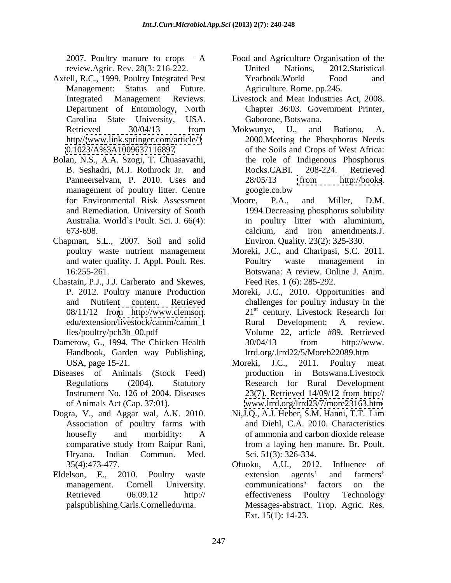- Axtell, R.C., 1999. Poultry Integrated Pest Yearbook. World Food and Management: Status and Future. Carolina State University, USA.
- Bolan, N.S., A.A. Szogi, T. Chuasavathi, management of poultry litter. Centre google.co.bw
- Chapman, S.L., 2007. Soil and solid
- Chastain, P.J., J.J. Carberato and Skewes,
- Damerow, G., 1994. The Chicken Health  $30/04/13$  from http://www. Handbook, Garden way Publishing,  $Irrd.org/Irrd22/5/Moreb22089.htm$
- Diseases of Animals (Stock Feed) production in Botswana. Livestock
- Association of poultry farms with
- 
- 2007. Poultry manure to crops A Food and Agriculture Organisation of the review.Agric. Rev. 28(3: 216-222. United Nations, 2012.Statistical Yearbook.World Food and Agriculture. Rome. pp.245.
- Integrated Management Reviews. Livestock and Meat Industries Act, 2008. Department of Entomology, North Chapter 36:03. Government Printer, Gaborone, Botswana.
- Retrieved 30/04/13 from Mokwunye, U., and Bationo, A. http//[:www.link.springer.com/article/1](http://www.link.springer.com/article/1) 2000.Meeting the Phosphorus Needs <0.1023/A%3A1009637116897> of the Soils and Crops of West Africa: B. Seshadri, M.J. Rothrock Jr. and Rocks.CABI. 208-224. Retrieved Panneerselvam, P. 2010. Uses and 28/05/13 from http://books. Mokwunye, U., and Bationo, A. the role of Indigenous Phosphorus Rocks.CABI. 208-224. Retrieved 28/05/13 from <http://books>. google.co.bw
- for Environmental Risk Assessment and Remediation. University of South 1994.Decreasing phosphorus solubility Australia. World`s Poult. Sci. J. 66(4): in poultry litter with aluminium, 673-698. calcium, and iron amendments.J. Moore, P.A., and Miller, D.M. Environ. Quality. 23(2): 325-330.
- poultry waste nutrient management Moreki, J.C., and Charipasi, S.C. 2011. and water quality. J. Appl. Poult. Res. 16:255-261. Botswana: A review. Online J. Anim. Poultry waste management in Feed Res. 1 (6): 285-292.
- P. 2012. Poultry manure Production Moreki, J.C., 2010. Opportunities and and Nutrient content. Retrieved challenges for poultry industry in the  $08/11/12$  from <http://www.clemson>. 21<sup>st</sup> century. Livestock Research for edu/extension/livestock/camm/camm f Rural Development: A review. lies/poultry/pch3b\_00.pdf Volume 22, article #89. Retrieved Rural Development: A review. 30/04/13 from http://www. lrrd.org/.lrrd22/5/Moreb22089.htm
- USA, page 15-21. Moreki, J.C., 2011. Poultry meat Regulations (2004). Statutory Research for Rural Development Instrument No. 126 of 2004. Diseases of Animals Act (Cap. 37:01). www.lrrd.org/lrrd23/7/more23163.htm Moreki, J.C., 2011. Poultry meat production in Botswana.Livestock 23(7). Retrieved 14/09/12 from http:// [www.lrrd.org/lrrd23/7/more23163.htm](http://www.lrrd.org/lrrd23/7/more23163.htm)
- Dogra, V., and Aggar wal, A.K. 2010. Ni,J.Q., A.J. Heber, S.M. Hanni, T.T. Lim housefly and morbidity: A of ammonia and carbon dioxide release comparative study from Raipur Rani, Hryana. Indian Commun. Med. and Diehl, C.A. 2010. Characteristics of ammonia and carbon dioxide release from a laying hen manure. Br. Poult. Sci. 51(3): 326-334.
- 35(4):473-477. Eldelson, E., 2010. Poultry waste extension agents' and farmers' management. Cornell University. communications' factors on the Retrieved 06.09.12 http:// effectiveness Poultry Technology palspublishing.Carls.Cornelledu/rna. Messages-abstract. Trop. Agric. Res. Ofuoku, A.U., 2012. Influence of extension agents' and farmers' communications' factors on the effectiveness Poultry Technology Ext. 15(1): 14-23.